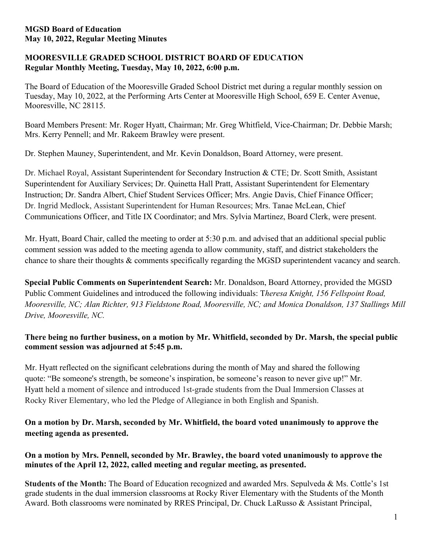# **MOORESVILLE GRADED SCHOOL DISTRICT BOARD OF EDUCATION Regular Monthly Meeting, Tuesday, May 10, 2022, 6:00 p.m.**

The Board of Education of the Mooresville Graded School District met during a regular monthly session on Tuesday, May 10, 2022, at the Performing Arts Center at Mooresville High School, 659 E. Center Avenue, Mooresville, NC 28115.

Board Members Present: Mr. Roger Hyatt, Chairman; Mr. Greg Whitfield, Vice-Chairman; Dr. Debbie Marsh; Mrs. Kerry Pennell; and Mr. Rakeem Brawley were present.

Dr. Stephen Mauney, Superintendent, and Mr. Kevin Donaldson, Board Attorney, were present.

Dr. Michael Royal, Assistant Superintendent for Secondary Instruction & CTE; Dr. Scott Smith, Assistant Superintendent for Auxiliary Services; Dr. Quinetta Hall Pratt, Assistant Superintendent for Elementary Instruction; Dr. Sandra Albert, Chief Student Services Officer; Mrs. Angie Davis, Chief Finance Officer; Dr. Ingrid Medlock, Assistant Superintendent for Human Resources; Mrs. Tanae McLean, Chief Communications Officer, and Title IX Coordinator; and Mrs. Sylvia Martinez, Board Clerk, were present.

Mr. Hyatt, Board Chair, called the meeting to order at 5:30 p.m. and advised that an additional special public comment session was added to the meeting agenda to allow community, staff, and district stakeholders the chance to share their thoughts & comments specifically regarding the MGSD superintendent vacancy and search.

**Special Public Comments on Superintendent Search:** Mr. Donaldson, Board Attorney, provided the MGSD Public Comment Guidelines and introduced the following individuals: T*heresa Knight, 156 Fellspoint Road, Mooresville, NC; Alan Richter, 913 Fieldstone Road, Mooresville, NC; and Monica Donaldson, 137 Stallings Mill Drive, Mooresville, NC.*

# **There being no further business, on a motion by Mr. Whitfield, seconded by Dr. Marsh, the special public comment session was adjourned at 5:45 p.m.**

Mr. Hyatt reflected on the significant celebrations during the month of May and shared the following quote: "Be someone's strength, be someone's inspiration, be someone's reason to never give up!" Mr. Hyatt held a moment of silence and introduced 1st-grade students from the Dual Immersion Classes at Rocky River Elementary, who led the Pledge of Allegiance in both English and Spanish.

**On a motion by Dr. Marsh, seconded by Mr. Whitfield, the board voted unanimously to approve the meeting agenda as presented.**

# **On a motion by Mrs. Pennell, seconded by Mr. Brawley, the board voted unanimously to approve the minutes of the April 12, 2022, called meeting and regular meeting, as presented.**

**Students of the Month:** The Board of Education recognized and awarded Mrs. Sepulveda & Ms. Cottle's 1st grade students in the dual immersion classrooms at Rocky River Elementary with the Students of the Month Award. Both classrooms were nominated by RRES Principal, Dr. Chuck LaRusso & Assistant Principal,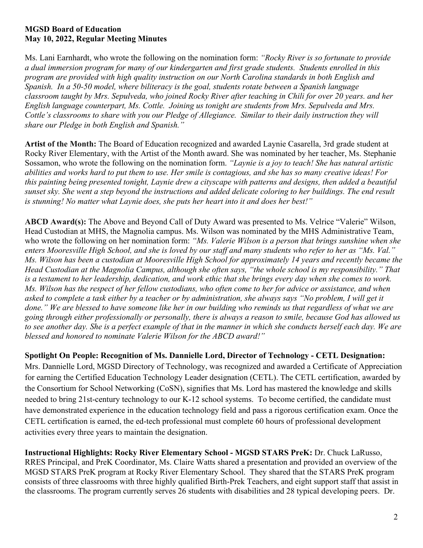Ms. Lani Earnhardt, who wrote the following on the nomination form: *"Rocky River is so fortunate to provide a dual immersion program for many of our kindergarten and first grade students. Students enrolled in this program are provided with high quality instruction on our North Carolina standards in both English and Spanish. In a 50-50 model, where biliteracy is the goal, students rotate between a Spanish language classroom taught by Mrs. Sepulveda, who joined Rocky River after teaching in Chili for over 20 years. and her English language counterpart, Ms. Cottle. Joining us tonight are students from Mrs. Sepulveda and Mrs. Cottle's classrooms to share with you our Pledge of Allegiance. Similar to their daily instruction they will share our Pledge in both English and Spanish."*

**Artist of the Month:** The Board of Education recognized and awarded Laynie Casarella, 3rd grade student at Rocky River Elementary, with the Artist of the Month award. She was nominated by her teacher, Ms. Stephanie Sossamon, who wrote the following on the nomination form. *"Laynie is a joy to teach! She has natural artistic abilities and works hard to put them to use. Her smile is contagious, and she has so many creative ideas! For this painting being presented tonight, Laynie drew a cityscape with patterns and designs, then added a beautiful sunset sky. She went a step beyond the instructions and added delicate coloring to her buildings. The end result is stunning! No matter what Laynie does, she puts her heart into it and does her best!"*

**ABCD Award(s):** The Above and Beyond Call of Duty Award was presented to Ms. Velrice "Valerie" Wilson, Head Custodian at MHS, the Magnolia campus. Ms. Wilson was nominated by the MHS Administrative Team, who wrote the following on her nomination form: *"Ms. Valerie Wilson is a person that brings sunshine when she enters Mooresville High School, and she is loved by our staff and many students who refer to her as "Ms. Val." Ms. Wilson has been a custodian at Mooresville High School for approximately 14 years and recently became the Head Custodian at the Magnolia Campus, although she often says, "the whole school is my responsibility." That is a testament to her leadership, dedication, and work ethic that she brings every day when she comes to work. Ms. Wilson has the respect of her fellow custodians, who often come to her for advice or assistance, and when asked to complete a task either by a teacher or by administration, she always says "No problem, I will get it done." We are blessed to have someone like her in our building who reminds us that regardless of what we are going through either professionally or personally, there is always a reason to smile, because God has allowed us to see another day. She is a perfect example of that in the manner in which she conducts herself each day. We are blessed and honored to nominate Valerie Wilson for the ABCD award!"*

**Spotlight On People: Recognition of Ms. Dannielle Lord, Director of Technology - CETL Designation:** Mrs. Dannielle Lord, MGSD Directory of Technology, was recognized and awarded a Certificate of Appreciation for earning the Certified Education Technology Leader designation (CETL). The CETL certification, awarded by the Consortium for School Networking (CoSN), signifies that Ms. Lord has mastered the knowledge and skills needed to bring 21st-century technology to our K-12 school systems. To become certified, the candidate must have demonstrated experience in the education technology field and pass a rigorous certification exam. Once the CETL certification is earned, the ed-tech professional must complete 60 hours of professional development activities every three years to maintain the designation.

**Instructional Highlights: Rocky River Elementary School - MGSD STARS PreK:** Dr. Chuck LaRusso, RRES Principal, and PreK Coordinator, Ms. Claire Watts shared a presentation and provided an overview of the MGSD STARS PreK program at Rocky River Elementary School. They shared that the STARS PreK program consists of three classrooms with three highly qualified Birth-Prek Teachers, and eight support staff that assist in the classrooms. The program currently serves 26 students with disabilities and 28 typical developing peers. Dr.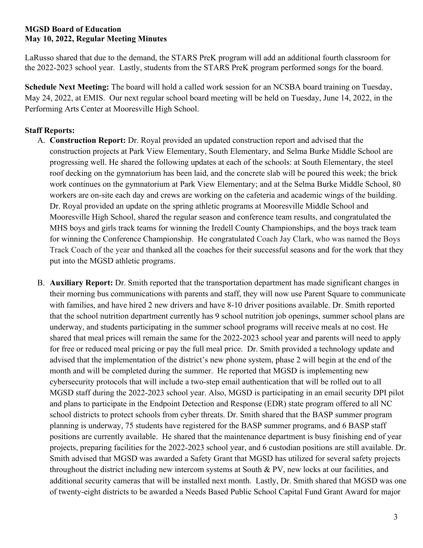LaRusso shared that due to the demand, the STARS PreK program will add an additional fourth classroom for the 2022-2023 school year. Lastly, students from the STARS PreK program performed songs for the board.

**Schedule Next Meeting:** The board will hold a called work session for an NCSBA board training on Tuesday, May 24, 2022, at EMIS. Our next regular school board meeting will be held on Tuesday, June 14, 2022, in the Performing Arts Center at Mooresville High School.

# **Staff Reports:**

- A. **Construction Report:** Dr. Royal provided an updated construction report and advised that the construction projects at Park View Elementary, South Elementary, and Selma Burke Middle School are progressing well. He shared the following updates at each of the schools: at South Elementary, the steel roof decking on the gymnatorium has been laid, and the concrete slab will be poured this week; the brick work continues on the gymnatorium at Park View Elementary; and at the Selma Burke Middle School, 80 workers are on-site each day and crews are working on the cafeteria and academic wings of the building. Dr. Royal provided an update on the spring athletic programs at Mooresville Middle School and Mooresville High School, shared the regular season and conference team results, and congratulated the MHS boys and girls track teams for winning the Iredell County Championships, and the boys track team for winning the Conference Championship. He congratulated Coach Jay Clark, who was named the Boys Track Coach of the year and thanked all the coaches for their successful seasons and for the work that they put into the MGSD athletic programs.
- B. **Auxiliary Report:** Dr. Smith reported that the transportation department has made significant changes in their morning bus communications with parents and staff, they will now use Parent Square to communicate with families, and have hired 2 new drivers and have 8-10 driver positions available. Dr. Smith reported that the school nutrition department currently has 9 school nutrition job openings, summer school plans are underway, and students participating in the summer school programs will receive meals at no cost. He shared that meal prices will remain the same for the 2022-2023 school year and parents will need to apply for free or reduced meal pricing or pay the full meal price. Dr. Smith provided a technology update and advised that the implementation of the district's new phone system, phase 2 will begin at the end of the month and will be completed during the summer. He reported that MGSD is implementing new cybersecurity protocols that will include a two-step email authentication that will be rolled out to all MGSD staff during the 2022-2023 school year. Also, MGSD is participating in an email security DPI pilot and plans to participate in the Endpoint Detection and Response (EDR) state program offered to all NC school districts to protect schools from cyber threats. Dr. Smith shared that the BASP summer program planning is underway, 75 students have registered for the BASP summer programs, and 6 BASP staff positions are currently available. He shared that the maintenance department is busy finishing end of year projects, preparing facilities for the 2022-2023 school year, and 6 custodian positions are still available. Dr. Smith advised that MGSD was awarded a Safety Grant that MGSD has utilized for several safety projects throughout the district including new intercom systems at South & PV, new locks at our facilities, and additional security cameras that will be installed next month. Lastly, Dr. Smith shared that MGSD was one of twenty-eight districts to be awarded a Needs Based Public School Capital Fund Grant Award for major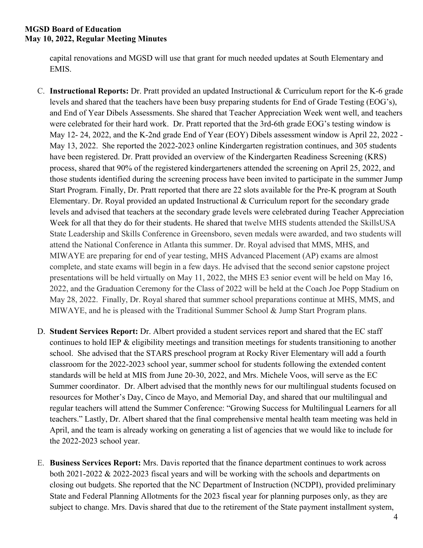capital renovations and MGSD will use that grant for much needed updates at South Elementary and EMIS.

- C. **Instructional Reports:** Dr. Pratt provided an updated Instructional & Curriculum report for the K-6 grade levels and shared that the teachers have been busy preparing students for End of Grade Testing (EOG's), and End of Year Dibels Assessments. She shared that Teacher Appreciation Week went well, and teachers were celebrated for their hard work. Dr. Pratt reported that the 3rd-6th grade EOG's testing window is May 12- 24, 2022, and the K-2nd grade End of Year (EOY) Dibels assessment window is April 22, 2022 - May 13, 2022. She reported the 2022-2023 online Kindergarten registration continues, and 305 students have been registered. Dr. Pratt provided an overview of the Kindergarten Readiness Screening (KRS) process, shared that 90% of the registered kindergarteners attended the screening on April 25, 2022, and those students identified during the screening process have been invited to participate in the summer Jump Start Program. Finally, Dr. Pratt reported that there are 22 slots available for the Pre-K program at South Elementary. Dr. Royal provided an updated Instructional & Curriculum report for the secondary grade levels and advised that teachers at the secondary grade levels were celebrated during Teacher Appreciation Week for all that they do for their students. He shared that twelve MHS students attended the SkillsUSA State Leadership and Skills Conference in Greensboro, seven medals were awarded, and two students will attend the National Conference in Atlanta this summer. Dr. Royal advised that MMS, MHS, and MIWAYE are preparing for end of year testing, MHS Advanced Placement (AP) exams are almost complete, and state exams will begin in a few days. He advised that the second senior capstone project presentations will be held virtually on May 11, 2022, the MHS E3 senior event will be held on May 16, 2022, and the Graduation Ceremony for the Class of 2022 will be held at the Coach Joe Popp Stadium on May 28, 2022. Finally, Dr. Royal shared that summer school preparations continue at MHS, MMS, and MIWAYE, and he is pleased with the Traditional Summer School & Jump Start Program plans.
- D. **Student Services Report:** Dr. Albert provided a student services report and shared that the EC staff continues to hold IEP & eligibility meetings and transition meetings for students transitioning to another school. She advised that the STARS preschool program at Rocky River Elementary will add a fourth classroom for the 2022-2023 school year, summer school for students following the extended content standards will be held at MIS from June 20-30, 2022, and Mrs. Michele Voos, will serve as the EC Summer coordinator. Dr. Albert advised that the monthly news for our multilingual students focused on resources for Mother's Day, Cinco de Mayo, and Memorial Day, and shared that our multilingual and regular teachers will attend the Summer Conference: "Growing Success for Multilingual Learners for all teachers." Lastly, Dr. Albert shared that the final comprehensive mental health team meeting was held in April, and the team is already working on generating a list of agencies that we would like to include for the 2022-2023 school year.
- E. **Business Services Report:** Mrs. Davis reported that the finance department continues to work across both 2021-2022 & 2022-2023 fiscal years and will be working with the schools and departments on closing out budgets. She reported that the NC Department of Instruction (NCDPI), provided preliminary State and Federal Planning Allotments for the 2023 fiscal year for planning purposes only, as they are subject to change. Mrs. Davis shared that due to the retirement of the State payment installment system,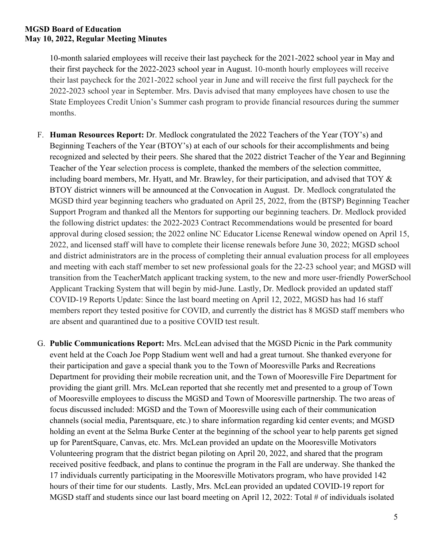10-month salaried employees will receive their last paycheck for the 2021-2022 school year in May and their first paycheck for the 2022-2023 school year in August. 10-month hourly employees will receive their last paycheck for the 2021-2022 school year in June and will receive the first full paycheck for the 2022-2023 school year in September. Mrs. Davis advised that many employees have chosen to use the State Employees Credit Union's Summer cash program to provide financial resources during the summer months.

- F. **Human Resources Report:** Dr. Medlock congratulated the 2022 Teachers of the Year (TOY's) and Beginning Teachers of the Year (BTOY's) at each of our schools for their accomplishments and being recognized and selected by their peers. She shared that the 2022 district Teacher of the Year and Beginning Teacher of the Year selection process is complete, thanked the members of the selection committee, including board members, Mr. Hyatt, and Mr. Brawley, for their participation, and advised that TOY & BTOY district winners will be announced at the Convocation in August. Dr. Medlock congratulated the MGSD third year beginning teachers who graduated on April 25, 2022, from the (BTSP) Beginning Teacher Support Program and thanked all the Mentors for supporting our beginning teachers. Dr. Medlock provided the following district updates: the 2022-2023 Contract Recommendations would be presented for board approval during closed session; the 2022 online NC Educator License Renewal window opened on April 15, 2022, and licensed staff will have to complete their license renewals before June 30, 2022; MGSD school and district administrators are in the process of completing their annual evaluation process for all employees and meeting with each staff member to set new professional goals for the 22-23 school year; and MGSD will transition from the TeacherMatch applicant tracking system, to the new and more user-friendly PowerSchool Applicant Tracking System that will begin by mid-June. Lastly, Dr. Medlock provided an updated staff COVID-19 Reports Update: Since the last board meeting on April 12, 2022, MGSD has had 16 staff members report they tested positive for COVID, and currently the district has 8 MGSD staff members who are absent and quarantined due to a positive COVID test result.
- G. **Public Communications Report:** Mrs. McLean advised that the MGSD Picnic in the Park community event held at the Coach Joe Popp Stadium went well and had a great turnout. She thanked everyone for their participation and gave a special thank you to the Town of Mooresville Parks and Recreations Department for providing their mobile recreation unit, and the Town of Mooresville Fire Department for providing the giant grill. Mrs. McLean reported that she recently met and presented to a group of Town of Mooresville employees to discuss the MGSD and Town of Mooresville partnership. The two areas of focus discussed included: MGSD and the Town of Mooresville using each of their communication channels (social media, Parentsquare, etc.) to share information regarding kid center events; and MGSD holding an event at the Selma Burke Center at the beginning of the school year to help parents get signed up for ParentSquare, Canvas, etc. Mrs. McLean provided an update on the Mooresville Motivators Volunteering program that the district began piloting on April 20, 2022, and shared that the program received positive feedback, and plans to continue the program in the Fall are underway. She thanked the 17 individuals currently participating in the Mooresville Motivators program, who have provided 142 hours of their time for our students. Lastly, Mrs. McLean provided an updated COVID-19 report for MGSD staff and students since our last board meeting on April 12, 2022: Total # of individuals isolated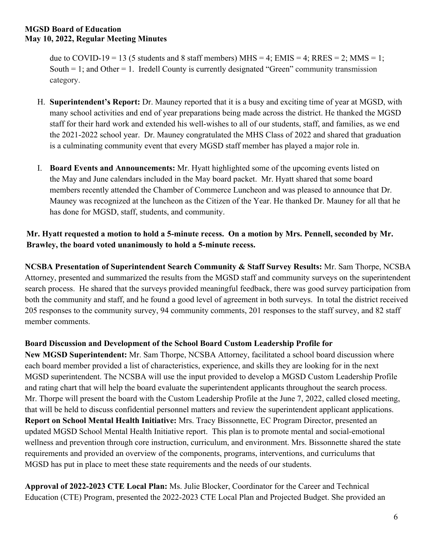due to COVID-19 = 13 (5 students and 8 staff members) MHS = 4; EMIS = 4; RRES = 2; MMS = 1; South  $= 1$ ; and Other  $= 1$ . Iredell County is currently designated "Green" community transmission category.

- H. **Superintendent's Report:** Dr. Mauney reported that it is a busy and exciting time of year at MGSD, with many school activities and end of year preparations being made across the district. He thanked the MGSD staff for their hard work and extended his well-wishes to all of our students, staff, and families, as we end the 2021-2022 school year. Dr. Mauney congratulated the MHS Class of 2022 and shared that graduation is a culminating community event that every MGSD staff member has played a major role in.
- I. **Board Events and Announcements:** Mr. Hyatt highlighted some of the upcoming events listed on the May and June calendars included in the May board packet. Mr. Hyatt shared that some board members recently attended the Chamber of Commerce Luncheon and was pleased to announce that Dr. Mauney was recognized at the luncheon as the Citizen of the Year. He thanked Dr. Mauney for all that he has done for MGSD, staff, students, and community.

# **Mr. Hyatt requested a motion to hold a 5-minute recess. On a motion by Mrs. Pennell, seconded by Mr. Brawley, the board voted unanimously to hold a 5-minute recess.**

**NCSBA Presentation of Superintendent Search Community & Staff Survey Results:** Mr. Sam Thorpe, NCSBA Attorney, presented and summarized the results from the MGSD staff and community surveys on the superintendent search process. He shared that the surveys provided meaningful feedback, there was good survey participation from both the community and staff, and he found a good level of agreement in both surveys. In total the district received 205 responses to the community survey, 94 community comments, 201 responses to the staff survey, and 82 staff member comments.

# **Board Discussion and Development of the School Board Custom Leadership Profile for**

**New MGSD Superintendent:** Mr. Sam Thorpe, NCSBA Attorney, facilitated a school board discussion where each board member provided a list of characteristics, experience, and skills they are looking for in the next MGSD superintendent. The NCSBA will use the input provided to develop a MGSD Custom Leadership Profile and rating chart that will help the board evaluate the superintendent applicants throughout the search process. Mr. Thorpe will present the board with the Custom Leadership Profile at the June 7, 2022, called closed meeting, that will be held to discuss confidential personnel matters and review the superintendent applicant applications. **Report on School Mental Health Initiative:** Mrs. Tracy Bissonnette, EC Program Director, presented an updated MGSD School Mental Health Initiative report. This plan is to promote mental and social-emotional wellness and prevention through core instruction, curriculum, and environment. Mrs. Bissonnette shared the state requirements and provided an overview of the components, programs, interventions, and curriculums that MGSD has put in place to meet these state requirements and the needs of our students.

**Approval of 2022-2023 CTE Local Plan:** Ms. Julie Blocker, Coordinator for the Career and Technical Education (CTE) Program, presented the 2022-2023 CTE Local Plan and Projected Budget. She provided an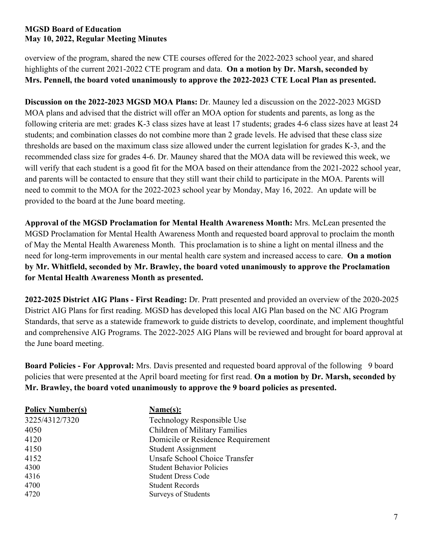overview of the program, shared the new CTE courses offered for the 2022-2023 school year, and shared highlights of the current 2021-2022 CTE program and data. **On a motion by Dr. Marsh, seconded by Mrs. Pennell, the board voted unanimously to approve the 2022-2023 CTE Local Plan as presented.**

**Discussion on the 2022-2023 MGSD MOA Plans:** Dr. Mauney led a discussion on the 2022-2023 MGSD MOA plans and advised that the district will offer an MOA option for students and parents, as long as the following criteria are met: grades K-3 class sizes have at least 17 students; grades 4-6 class sizes have at least 24 students; and combination classes do not combine more than 2 grade levels. He advised that these class size thresholds are based on the maximum class size allowed under the current legislation for grades K-3, and the recommended class size for grades 4-6. Dr. Mauney shared that the MOA data will be reviewed this week, we will verify that each student is a good fit for the MOA based on their attendance from the 2021-2022 school year, and parents will be contacted to ensure that they still want their child to participate in the MOA. Parents will need to commit to the MOA for the 2022-2023 school year by Monday, May 16, 2022. An update will be provided to the board at the June board meeting.

**Approval of the MGSD Proclamation for Mental Health Awareness Month:** Mrs. McLean presented the MGSD Proclamation for Mental Health Awareness Month and requested board approval to proclaim the month of May the Mental Health Awareness Month. This proclamation is to shine a light on mental illness and the need for long-term improvements in our mental health care system and increased access to care. **On a motion by Mr. Whitfield, seconded by Mr. Brawley, the board voted unanimously to approve the Proclamation for Mental Health Awareness Month as presented.**

**2022-2025 District AIG Plans - First Reading:** Dr. Pratt presented and provided an overview of the 2020-2025 District AIG Plans for first reading. MGSD has developed this local AIG Plan based on the NC AIG Program Standards, that serve as a statewide framework to guide districts to develop, coordinate, and implement thoughtful and comprehensive AIG Programs. The 2022-2025 AIG Plans will be reviewed and brought for board approval at the June board meeting.

**Board Policies - For Approval:** Mrs. Davis presented and requested board approval of the following 9 board policies that were presented at the April board meeting for first read. **On a motion by Dr. Marsh, seconded by Mr. Brawley, the board voted unanimously to approve the 9 board policies as presented.**

| <b>Policy Number(s)</b> | Name(s):                          |
|-------------------------|-----------------------------------|
| 3225/4312/7320          | Technology Responsible Use        |
| 4050                    | Children of Military Families     |
| 4120                    | Domicile or Residence Requirement |
| 4150                    | Student Assignment                |
| 4152                    | Unsafe School Choice Transfer     |
| 4300                    | <b>Student Behavior Policies</b>  |
| 4316                    | <b>Student Dress Code</b>         |
| 4700                    | <b>Student Records</b>            |
| 4720                    | <b>Surveys of Students</b>        |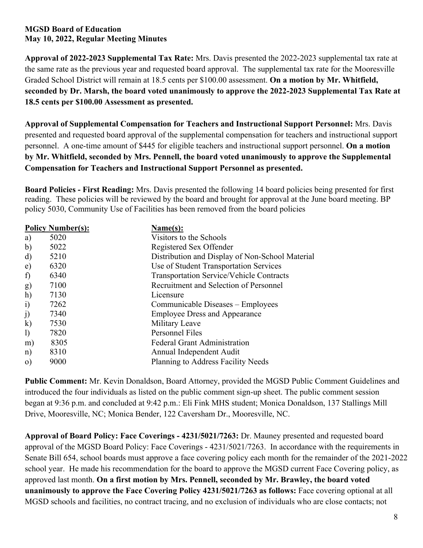**Approval of 2022-2023 Supplemental Tax Rate:** Mrs. Davis presented the 2022-2023 supplemental tax rate at the same rate as the previous year and requested board approval. The supplemental tax rate for the Mooresville Graded School District will remain at 18.5 cents per \$100.00 assessment. **On a motion by Mr. Whitfield, seconded by Dr. Marsh, the board voted unanimously to approve the 2022-2023 Supplemental Tax Rate at 18.5 cents per \$100.00 Assessment as presented.**

**Approval of Supplemental Compensation for Teachers and Instructional Support Personnel:** Mrs. Davis presented and requested board approval of the supplemental compensation for teachers and instructional support personnel. A one-time amount of \$445 for eligible teachers and instructional support personnel. **On a motion by Mr. Whitfield, seconded by Mrs. Pennell, the board voted unanimously to approve the Supplemental Compensation for Teachers and Instructional Support Personnel as presented.**

**Board Policies - First Reading:** Mrs. Davis presented the following 14 board policies being presented for first reading. These policies will be reviewed by the board and brought for approval at the June board meeting. BP policy 5030, Community Use of Facilities has been removed from the board policies

|                              | <b>Policy Number(s):</b> | Name(s):                                        |
|------------------------------|--------------------------|-------------------------------------------------|
| a)                           | 5020                     | Visitors to the Schools                         |
| $\mathbf{b}$                 | 5022                     | Registered Sex Offender                         |
| d)                           | 5210                     | Distribution and Display of Non-School Material |
| e)                           | 6320                     | Use of Student Transportation Services          |
| f                            | 6340                     | <b>Transportation Service/Vehicle Contracts</b> |
| g)                           | 7100                     | Recruitment and Selection of Personnel          |
| h)                           | 7130                     | Licensure                                       |
| i)                           | 7262                     | Communicable Diseases – Employees               |
| j)                           | 7340                     | <b>Employee Dress and Appearance</b>            |
| $\bf k)$                     | 7530                     | Military Leave                                  |
| $\left( \frac{1}{2} \right)$ | 7820                     | Personnel Files                                 |
| m)                           | 8305                     | <b>Federal Grant Administration</b>             |
| $\ln$ )                      | 8310                     | Annual Independent Audit                        |
| $\mathbf{O}$                 | 9000                     | Planning to Address Facility Needs              |

**Public Comment:** Mr. Kevin Donaldson, Board Attorney, provided the MGSD Public Comment Guidelines and introduced the four individuals as listed on the public comment sign-up sheet. The public comment session began at 9:36 p.m. and concluded at 9:42 p.m.: Eli Fink MHS student; Monica Donaldson, 137 Stallings Mill Drive, Mooresville, NC; Monica Bender, 122 Caversham Dr., Mooresville, NC.

**Approval of Board Policy: Face Coverings - 4231/5021/7263:** Dr. Mauney presented and requested board approval of the MGSD Board Policy: Face Coverings - 4231/5021/7263. In accordance with the requirements in Senate Bill 654, school boards must approve a face covering policy each month for the remainder of the 2021-2022 school year. He made his recommendation for the board to approve the MGSD current Face Covering policy, as approved last month. **On a first motion by Mrs. Pennell, seconded by Mr. Brawley, the board voted unanimously to approve the Face Covering Policy 4231/5021/7263 as follows:** Face covering optional at all MGSD schools and facilities, no contract tracing, and no exclusion of individuals who are close contacts; not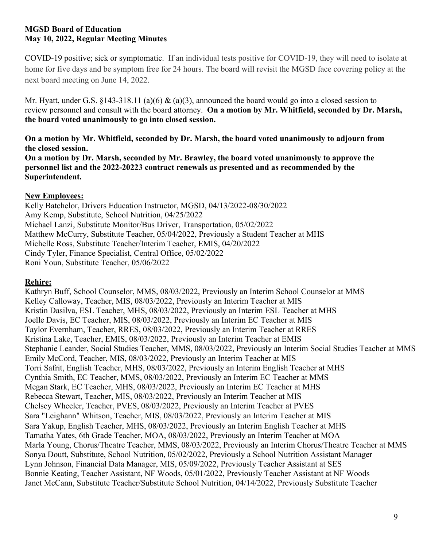COVID-19 positive; sick or symptomatic. If an individual tests positive for COVID-19, they will need to isolate at home for five days and be symptom free for 24 hours. The board will revisit the MGSD face covering policy at the next board meeting on June 14, 2022.

Mr. Hyatt, under G.S. §143-318.11 (a)(6) & (a)(3), announced the board would go into a closed session to review personnel and consult with the board attorney. **On a motion by Mr. Whitfield, seconded by Dr. Marsh, the board voted unanimously to go into closed session.**

**On a motion by Mr. Whitfield, seconded by Dr. Marsh, the board voted unanimously to adjourn from the closed session.**

**On a motion by Dr. Marsh, seconded by Mr. Brawley, the board voted unanimously to approve the personnel list and the 2022-20223 contract renewals as presented and as recommended by the Superintendent.** 

# **New Employees:**

Kelly Batchelor, Drivers Education Instructor, MGSD, 04/13/2022-08/30/2022 Amy Kemp, Substitute, School Nutrition, 04/25/2022 Michael Lanzi, Substitute Monitor/Bus Driver, Transportation, 05/02/2022 Matthew McCurry, Substitute Teacher, 05/04/2022, Previously a Student Teacher at MHS Michelle Ross, Substitute Teacher/Interim Teacher, EMIS, 04/20/2022 Cindy Tyler, Finance Specialist, Central Office, 05/02/2022 Roni Youn, Substitute Teacher, 05/06/2022

# **Rehire:**

Kathryn Buff, School Counselor, MMS, 08/03/2022, Previously an Interim School Counselor at MMS Kelley Calloway, Teacher, MIS, 08/03/2022, Previously an Interim Teacher at MIS Kristin Dasilva, ESL Teacher, MHS, 08/03/2022, Previously an Interim ESL Teacher at MHS Joelle Davis, EC Teacher, MIS, 08/03/2022, Previously an Interim EC Teacher at MIS Taylor Evernham, Teacher, RRES, 08/03/2022, Previously an Interim Teacher at RRES Kristina Lake, Teacher, EMIS, 08/03/2022, Previously an Interim Teacher at EMIS Stephanie Leander, Social Studies Teacher, MMS, 08/03/2022, Previously an Interim Social Studies Teacher at MMS Emily McCord, Teacher, MIS, 08/03/2022, Previously an Interim Teacher at MIS Torri Safrit, English Teacher, MHS, 08/03/2022, Previously an Interim English Teacher at MHS Cynthia Smith, EC Teacher, MMS, 08/03/2022, Previously an Interim EC Teacher at MMS Megan Stark, EC Teacher, MHS, 08/03/2022, Previously an Interim EC Teacher at MHS Rebecca Stewart, Teacher, MIS, 08/03/2022, Previously an Interim Teacher at MIS Chelsey Wheeler, Teacher, PVES, 08/03/2022, Previously an Interim Teacher at PVES Sara "Leighann" Whitson, Teacher, MIS, 08/03/2022, Previously an Interim Teacher at MIS Sara Yakup, English Teacher, MHS, 08/03/2022, Previously an Interim English Teacher at MHS Tamatha Yates, 6th Grade Teacher, MOA, 08/03/2022, Previously an Interim Teacher at MOA Marla Young, Chorus/Theatre Teacher, MMS, 08/03/2022, Previously an Interim Chorus/Theatre Teacher at MMS Sonya Doutt, Substitute, School Nutrition, 05/02/2022, Previously a School Nutrition Assistant Manager Lynn Johnson, Financial Data Manager, MIS, 05/09/2022, Previously Teacher Assistant at SES Bonnie Keating, Teacher Assistant, NF Woods, 05/01/2022, Previously Teacher Assistant at NF Woods Janet McCann, Substitute Teacher/Substitute School Nutrition, 04/14/2022, Previously Substitute Teacher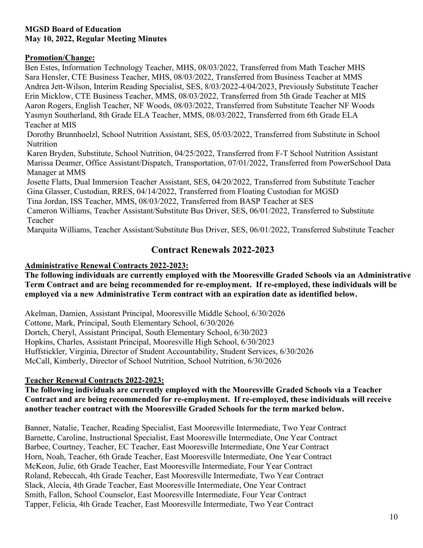### **Promotion/Change:**

Ben Estes, Information Technology Teacher, MHS, 08/03/2022, Transferred from Math Teacher MHS Sara Hensler, CTE Business Teacher, MHS, 08/03/2022, Transferred from Business Teacher at MMS Andrea Jett-Wilson, Interim Reading Specialist, SES, 8/03/2022-4/04/2023, Previously Substitute Teacher Erin Micklow, CTE Business Teacher, MMS, 08/03/2022, Transferred from 5th Grade Teacher at MIS Aaron Rogers, English Teacher, NF Woods, 08/03/2022, Transferred from Substitute Teacher NF Woods Yasmyn Southerland, 8th Grade ELA Teacher, MMS, 08/03/2022, Transferred from 6th Grade ELA Teacher at MIS

Dorothy Brunnhoelzl, School Nutrition Assistant, SES, 05/03/2022, Transferred from Substitute in School Nutrition

Karen Bryden, Substitute, School Nutrition, 04/25/2022, Transferred from F-T School Nutrition Assistant Marissa Deamer, Office Assistant/Dispatch, Transportation, 07/01/2022, Transferred from PowerSchool Data Manager at MMS

Josette Flatts, Dual Immersion Teacher Assistant, SES, 04/20/2022, Transferred from Substitute Teacher Gina Glasser, Custodian, RRES, 04/14/2022, Transferred from Floating Custodian for MGSD

Tina Jordan, ISS Teacher, MMS, 08/03/2022, Transferred from BASP Teacher at SES

Cameron Williams, Teacher Assistant/Substitute Bus Driver, SES, 06/01/2022, Transferred to Substitute Teacher

Marquita Williams, Teacher Assistant/Substitute Bus Driver, SES, 06/01/2022, Transferred Substitute Teacher

# **Contract Renewals 2022-2023**

# **Administrative Renewal Contracts 2022-2023:**

**The following individuals are currently employed with the Mooresville Graded Schools via an Administrative Term Contract and are being recommended for re-employment. If re-employed, these individuals will be employed via a new Administrative Term contract with an expiration date as identified below.**

Akelman, Damien, Assistant Principal, Mooresville Middle School, 6/30/2026 Cottone, Mark, Principal, South Elementary School, 6/30/2026 Dortch, Cheryl, Assistant Principal, South Elementary School, 6/30/2023 Hopkins, Charles, Assistant Principal, Mooresville High School, 6/30/2023 Huffstickler, Virginia, Director of Student Accountability, Student Services, 6/30/2026 McCall, Kimberly, Director of School Nutrition, School Nutrition, 6/30/2026

# **Teacher Renewal Contracts 2022-2023:**

# **The following individuals are currently employed with the Mooresville Graded Schools via a Teacher Contract and are being recommended for re-employment. If re-employed, these individuals will receive another teacher contract with the Mooresville Graded Schools for the term marked below.**

Banner, Natalie, Teacher, Reading Specialist, East Mooresville Intermediate, Two Year Contract Barnette, Caroline, Instructional Specialist, East Mooresville Intermediate, One Year Contract Barbee, Courtney, Teacher, EC Teacher, East Mooresville Intermediate, One Year Contract Horn, Noah, Teacher, 6th Grade Teacher, East Mooresville Intermediate, One Year Contract McKeon, Julie, 6th Grade Teacher, East Mooresville Intermediate, Four Year Contract Roland, Rebeccah, 4th Grade Teacher, East Mooresville Intermediate, Two Year Contract Slack, Alecia, 4th Grade Teacher, East Mooresville Intermediate, One Year Contract Smith, Fallon, School Counselor, East Mooresville Intermediate, Four Year Contract Tapper, Felicia, 4th Grade Teacher, East Mooresville Intermediate, Two Year Contract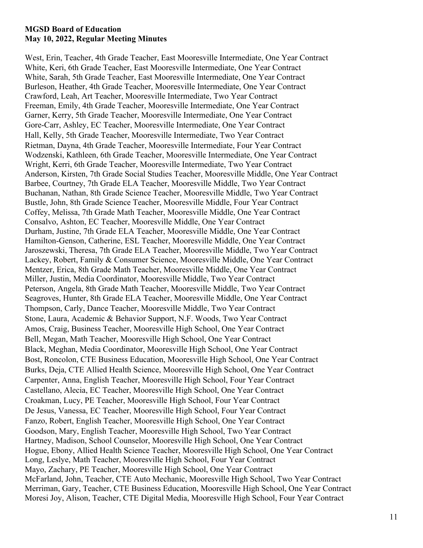West, Erin, Teacher, 4th Grade Teacher, East Mooresville Intermediate, One Year Contract White, Keri, 6th Grade Teacher, East Mooresville Intermediate, One Year Contract White, Sarah, 5th Grade Teacher, East Mooresville Intermediate, One Year Contract Burleson, Heather, 4th Grade Teacher, Mooresville Intermediate, One Year Contract Crawford, Leah, Art Teacher, Mooresville Intermediate, Two Year Contract Freeman, Emily, 4th Grade Teacher, Mooresville Intermediate, One Year Contract Garner, Kerry, 5th Grade Teacher, Mooresville Intermediate, One Year Contract Gore-Carr, Ashley, EC Teacher, Mooresville Intermediate, One Year Contract Hall, Kelly, 5th Grade Teacher, Mooresville Intermediate, Two Year Contract Rietman, Dayna, 4th Grade Teacher, Mooresville Intermediate, Four Year Contract Wodzenski, Kathleen, 6th Grade Teacher, Mooresville Intermediate, One Year Contract Wright, Kerri, 6th Grade Teacher, Mooresville Intermediate, Two Year Contract Anderson, Kirsten, 7th Grade Social Studies Teacher, Mooresville Middle, One Year Contract Barbee, Courtney, 7th Grade ELA Teacher, Mooresville Middle, Two Year Contract Buchanan, Nathan, 8th Grade Science Teacher, Mooresville Middle, Two Year Contract Bustle, John, 8th Grade Science Teacher, Mooresville Middle, Four Year Contract Coffey, Melissa, 7th Grade Math Teacher, Mooresville Middle, One Year Contract Consalvo, Ashton, EC Teacher, Mooresville Middle, One Year Contract Durham, Justine, 7th Grade ELA Teacher, Mooresville Middle, One Year Contract Hamilton-Genson, Catherine, ESL Teacher, Mooresville Middle, One Year Contract Jaroszewski, Theresa, 7th Grade ELA Teacher, Mooresville Middle, Two Year Contract Lackey, Robert, Family & Consumer Science, Mooresville Middle, One Year Contract Mentzer, Erica, 8th Grade Math Teacher, Mooresville Middle, One Year Contract Miller, Justin, Media Coordinator, Mooresville Middle, Two Year Contract Peterson, Angela, 8th Grade Math Teacher, Mooresville Middle, Two Year Contract Seagroves, Hunter, 8th Grade ELA Teacher, Mooresville Middle, One Year Contract Thompson, Carly, Dance Teacher, Mooresville Middle, Two Year Contract Stone, Laura, Academic & Behavior Support, N.F. Woods, Two Year Contract Amos, Craig, Business Teacher, Mooresville High School, One Year Contract Bell, Megan, Math Teacher, Mooresville High School, One Year Contract Black, Meghan, Media Coordinator, Mooresville High School, One Year Contract Bost, Roncolon, CTE Business Education, Mooresville High School, One Year Contract Burks, Deja, CTE Allied Health Science, Mooresville High School, One Year Contract Carpenter, Anna, English Teacher, Mooresville High School, Four Year Contract Castellano, Alecia, EC Teacher, Mooresville High School, One Year Contract Croakman, Lucy, PE Teacher, Mooresville High School, Four Year Contract De Jesus, Vanessa, EC Teacher, Mooresville High School, Four Year Contract Fanzo, Robert, English Teacher, Mooresville High School, One Year Contract Goodson, Mary, English Teacher, Mooresville High School, Two Year Contract Hartney, Madison, School Counselor, Mooresville High School, One Year Contract Hogue, Ebony, Allied Health Science Teacher, Mooresville High School, One Year Contract Long, Leslye, Math Teacher, Mooresville High School, Four Year Contract Mayo, Zachary, PE Teacher, Mooresville High School, One Year Contract McFarland, John, Teacher, CTE Auto Mechanic, Mooresville High School, Two Year Contract Merriman, Gary, Teacher, CTE Business Education, Mooresville High School, One Year Contract Moresi Joy, Alison, Teacher, CTE Digital Media, Mooresville High School, Four Year Contract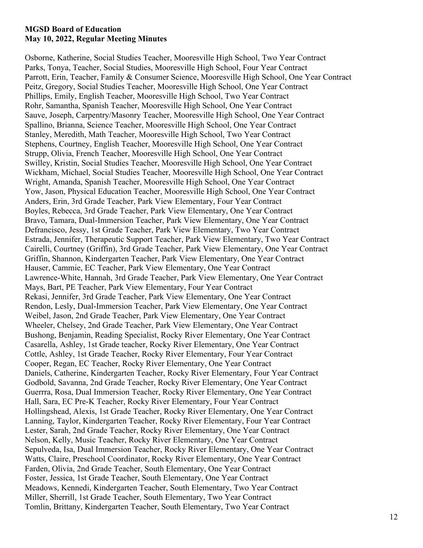Osborne, Katherine, Social Studies Teacher, Mooresville High School, Two Year Contract Parks, Tonya, Teacher, Social Studies, Mooresville High School, Four Year Contract Parrott, Erin, Teacher, Family & Consumer Science, Mooresville High School, One Year Contract Peitz, Gregory, Social Studies Teacher, Mooresville High School, One Year Contract Phillips, Emily, English Teacher, Mooresville High School, Two Year Contract Rohr, Samantha, Spanish Teacher, Mooresville High School, One Year Contract Sauve, Joseph, Carpentry/Masonry Teacher, Mooresville High School, One Year Contract Spallino, Brianna, Science Teacher, Mooresville High School, One Year Contract Stanley, Meredith, Math Teacher, Mooresville High School, Two Year Contract Stephens, Courtney, English Teacher, Mooresville High School, One Year Contract Strupp, Olivia, French Teacher, Mooresville High School, One Year Contract Swilley, Kristin, Social Studies Teacher, Mooresville High School, One Year Contract Wickham, Michael, Social Studies Teacher, Mooresville High School, One Year Contract Wright, Amanda, Spanish Teacher, Mooresville High School, One Year Contract Yow, Jason, Physical Education Teacher, Mooresville High School, One Year Contract Anders, Erin, 3rd Grade Teacher, Park View Elementary, Four Year Contract Boyles, Rebecca, 3rd Grade Teacher, Park View Elementary, One Year Contract Bravo, Tamara, Dual-Immersion Teacher, Park View Elementary, One Year Contract Defrancisco, Jessy, 1st Grade Teacher, Park View Elementary, Two Year Contract Estrada, Jennifer, Therapeutic Support Teacher, Park View Elementary, Two Year Contract Cairelli, Courtney (Griffin), 3rd Grade Teacher, Park View Elementary, One Year Contract Griffin, Shannon, Kindergarten Teacher, Park View Elementary, One Year Contract Hauser, Cammie, EC Teacher, Park View Elementary, One Year Contract Lawrence-White, Hannah, 3rd Grade Teacher, Park View Elementary, One Year Contract Mays, Bart, PE Teacher, Park View Elementary, Four Year Contract Rekasi, Jennifer, 3rd Grade Teacher, Park View Elementary, One Year Contract Rendon, Lesly, Dual-Immersion Teacher, Park View Elementary, One Year Contract Weibel, Jason, 2nd Grade Teacher, Park View Elementary, One Year Contract Wheeler, Chelsey, 2nd Grade Teacher, Park View Elementary, One Year Contract Bushong, Benjamin, Reading Specialist, Rocky River Elementary, One Year Contract Casarella, Ashley, 1st Grade teacher, Rocky River Elementary, One Year Contract Cottle, Ashley, 1st Grade Teacher, Rocky River Elementary, Four Year Contract Cooper, Regan, EC Teacher, Rocky River Elementary, One Year Contract Daniels, Catherine, Kindergarten Teacher, Rocky River Elementary, Four Year Contract Godbold, Savanna, 2nd Grade Teacher, Rocky River Elementary, One Year Contract Guerrra, Rosa, Dual Immersion Teacher, Rocky River Elementary, One Year Contract Hall, Sara, EC Pre-K Teacher, Rocky River Elementary, Four Year Contract Hollingshead, Alexis, 1st Grade Teacher, Rocky River Elementary, One Year Contract Lanning, Taylor, Kindergarten Teacher, Rocky River Elementary, Four Year Contract Lester, Sarah, 2nd Grade Teacher, Rocky River Elementary, One Year Contract Nelson, Kelly, Music Teacher, Rocky River Elementary, One Year Contract Sepulveda, Isa, Dual Immersion Teacher, Rocky River Elementary, One Year Contract Watts, Claire, Preschool Coordinator, Rocky River Elementary, One Year Contract Farden, Olivia, 2nd Grade Teacher, South Elementary, One Year Contract Foster, Jessica, 1st Grade Teacher, South Elementary, One Year Contract Meadows, Kennedi, Kindergarten Teacher, South Elementary, Two Year Contract Miller, Sherrill, 1st Grade Teacher, South Elementary, Two Year Contract Tomlin, Brittany, Kindergarten Teacher, South Elementary, Two Year Contract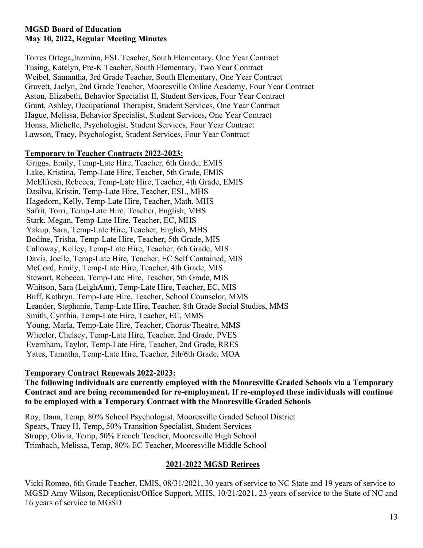Torres Ortega,Jazmina, ESL Teacher, South Elementary, One Year Contract Tusing, Katelyn, Pre-K Teacher, South Elementary, Two Year Contract Weibel, Samantha, 3rd Grade Teacher, South Elementary, One Year Contract Gravett, Jaclyn, 2nd Grade Teacher, Mooresville Online Academy, Four Year Contract Aston, Elizabeth, Behavior Specialist II, Student Services, Four Year Contract Grant, Ashley, Occupational Therapist, Student Services, One Year Contract Hague, Melissa, Behavior Specialist, Student Services, One Year Contract Honsa, Michelle, Psychologist, Student Services, Four Year Contract Lawson, Tracy, Psychologist, Student Services, Four Year Contract

#### **Temporary to Teacher Contracts 2022-2023:**

Griggs, Emily, Temp-Late Hire, Teacher, 6th Grade, EMIS Lake, Kristina, Temp-Late Hire, Teacher, 5th Grade, EMIS McElfresh, Rebecca, Temp-Late Hire, Teacher, 4th Grade, EMIS Dasilva, Kristin, Temp-Late Hire, Teacher, ESL, MHS Hagedorn, Kelly, Temp-Late Hire, Teacher, Math, MHS Safrit, Torri, Temp-Late Hire, Teacher, English, MHS Stark, Megan, Temp-Late Hire, Teacher, EC, MHS Yakup, Sara, Temp-Late Hire, Teacher, English, MHS Bodine, Trisha, Temp-Late Hire, Teacher, 5th Grade, MIS Calloway, Kelley, Temp-Late Hire, Teacher, 6th Grade, MIS Davis, Joelle, Temp-Late Hire, Teacher, EC Self Contained, MIS McCord, Emily, Temp-Late Hire, Teacher, 4th Grade, MIS Stewart, Rebecca, Temp-Late Hire, Teacher, 5th Grade, MIS Whitson, Sara (LeighAnn), Temp-Late Hire, Teacher, EC, MIS Buff, Kathryn, Temp-Late Hire, Teacher, School Counselor, MMS Leander, Stephanie, Temp-Late Hire, Teacher, 8th Grade Social Studies, MMS Smith, Cynthia, Temp-Late Hire, Teacher, EC, MMS Young, Marla, Temp-Late Hire, Teacher, Chorus/Theatre, MMS Wheeler, Chelsey, Temp-Late Hire, Teacher, 2nd Grade, PVES Evernham, Taylor, Temp-Late Hire, Teacher, 2nd Grade, RRES Yates, Tamatha, Temp-Late Hire, Teacher, 5th/6th Grade, MOA

# **Temporary Contract Renewals 2022-2023:**

**The following individuals are currently employed with the Mooresville Graded Schools via a Temporary Contract and are being recommended for re-employment. If re-employed these individuals will continue to be employed with a Temporary Contract with the Mooresville Graded Schools**

Roy, Dana, Temp, 80% School Psychologist, Mooresville Graded School District Spears, Tracy H, Temp, 50% Transition Specialist, Student Services Strupp, Olivia, Temp, 50% French Teacher, Mooresville High School Trimbach, Melissa, Temp, 80% EC Teacher, Mooresville Middle School

# **2021-2022 MGSD Retirees**

Vicki Romeo, 6th Grade Teacher, EMIS, 08/31/2021, 30 years of service to NC State and 19 years of service to MGSD Amy Wilson, Receptionist/Office Support, MHS, 10/21/2021, 23 years of service to the State of NC and 16 years of service to MGSD